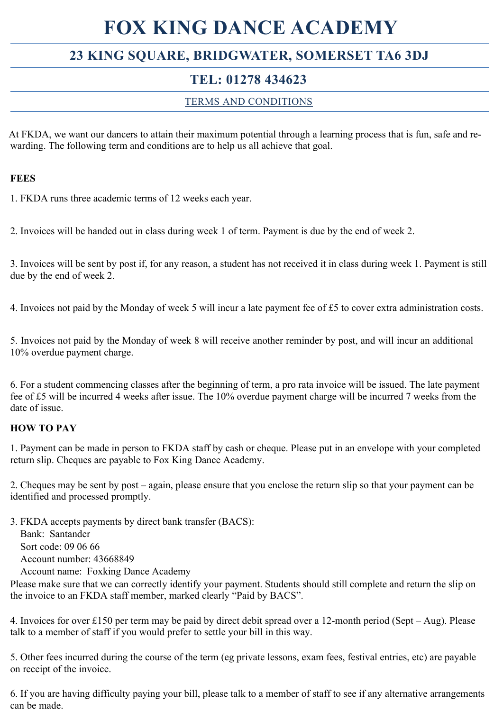# **FOX KING DANCE ACADEMY**

# **23 KING SQUARE, BRIDGWATER, SOMERSET TA6 3DJ**

# **TEL: 01278 434623**

### TERMS AND CONDITIONS

At FKDA, we want our dancers to attain their maximum potential through a learning process that is fun, safe and rewarding. The following term and conditions are to help us all achieve that goal.

#### **FEES**

1. FKDA runs three academic terms of 12 weeks each year.

2. Invoices will be handed out in class during week 1 of term. Payment is due by the end of week 2.

3. Invoices will be sent by post if, for any reason, a student has not received it in class during week 1. Payment is still due by the end of week 2.

4. Invoices not paid by the Monday of week 5 will incur a late payment fee of £5 to cover extra administration costs.

5. Invoices not paid by the Monday of week 8 will receive another reminder by post, and will incur an additional 10% overdue payment charge.

6. For a student commencing classes after the beginning of term, a pro rata invoice will be issued. The late payment fee of £5 will be incurred 4 weeks after issue. The 10% overdue payment charge will be incurred 7 weeks from the date of issue.

#### **HOW TO PAY**

1. Payment can be made in person to FKDA staff by cash or cheque. Please put in an envelope with your completed return slip. Cheques are payable to Fox King Dance Academy.

2. Cheques may be sent by post – again, please ensure that you enclose the return slip so that your payment can be identified and processed promptly.

3. FKDA accepts payments by direct bank transfer (BACS):

 Bank: Santander Sort code: 09 06 66 Account number: 43668849

Account name: Foxking Dance Academy

Please make sure that we can correctly identify your payment. Students should still complete and return the slip on the invoice to an FKDA staff member, marked clearly "Paid by BACS".

4. Invoices for over £150 per term may be paid by direct debit spread over a 12-month period (Sept – Aug). Please talk to a member of staff if you would prefer to settle your bill in this way.

5. Other fees incurred during the course of the term (eg private lessons, exam fees, festival entries, etc) are payable on receipt of the invoice.

6. If you are having difficulty paying your bill, please talk to a member of staff to see if any alternative arrangements can be made.